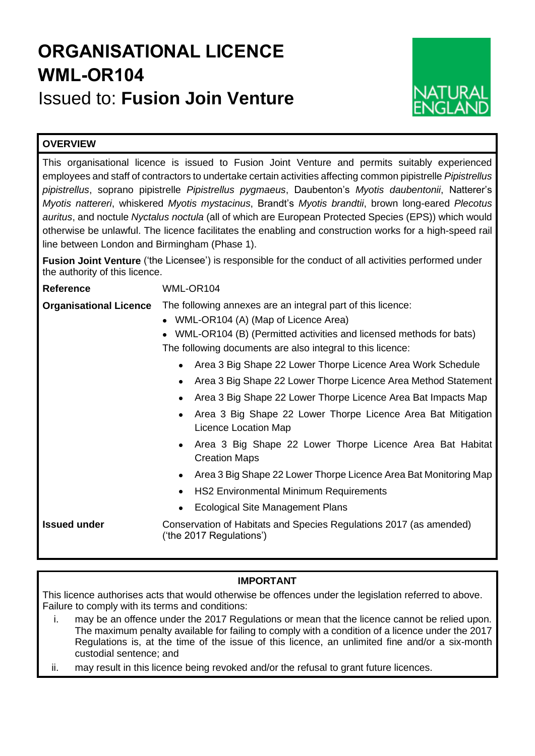# **ORGANISATIONAL LICENCE WML-OR104** Issued to: **Fusion Join Venture**



# **OVERVIEW**

This organisational licence is issued to Fusion Joint Venture and permits suitably experienced employees and staff of contractors to undertake certain activities affecting common pipistrelle *Pipistrellus pipistrellus*, soprano pipistrelle *Pipistrellus pygmaeus*, Daubenton's *Myotis daubentonii*, Natterer's *Myotis nattereri*, whiskered *Myotis mystacinus*, Brandt's *Myotis brandtii*, brown long-eared *Plecotus auritus*, and noctule *Nyctalus noctula* (all of which are European Protected Species (EPS)) which would otherwise be unlawful. The licence facilitates the enabling and construction works for a high-speed rail line between London and Birmingham (Phase 1).

**Fusion Joint Venture** ('the Licensee') is responsible for the conduct of all activities performed under the authority of this licence.

| <b>Reference</b>              | WML-OR104                                                                                                                                                                                                                                                                              |  |  |  |  |  |  |
|-------------------------------|----------------------------------------------------------------------------------------------------------------------------------------------------------------------------------------------------------------------------------------------------------------------------------------|--|--|--|--|--|--|
| <b>Organisational Licence</b> | The following annexes are an integral part of this licence:<br>WML-OR104 (A) (Map of Licence Area)<br>$\bullet$<br>WML-OR104 (B) (Permitted activities and licensed methods for bats)<br>The following documents are also integral to this licence:                                    |  |  |  |  |  |  |
|                               | Area 3 Big Shape 22 Lower Thorpe Licence Area Work Schedule<br>Area 3 Big Shape 22 Lower Thorpe Licence Area Method Statement<br>Area 3 Big Shape 22 Lower Thorpe Licence Area Bat Impacts Map<br>Area 3 Big Shape 22 Lower Thorpe Licence Area Bat Mitigation<br>Licence Location Map |  |  |  |  |  |  |
|                               | Area 3 Big Shape 22 Lower Thorpe Licence Area Bat Habitat<br><b>Creation Maps</b><br>Area 3 Big Shape 22 Lower Thorpe Licence Area Bat Monitoring Map<br><b>HS2 Environmental Minimum Requirements</b><br><b>Ecological Site Management Plans</b>                                      |  |  |  |  |  |  |
| <b>Issued under</b>           | Conservation of Habitats and Species Regulations 2017 (as amended)<br>('the 2017 Regulations')                                                                                                                                                                                         |  |  |  |  |  |  |

# **IMPORTANT**

This licence authorises acts that would otherwise be offences under the legislation referred to above. Failure to comply with its terms and conditions:

- i. may be an offence under the 2017 Regulations or mean that the licence cannot be relied upon. The maximum penalty available for failing to comply with a condition of a licence under the 2017 Regulations is, at the time of the issue of this licence, an unlimited fine and/or a six-month custodial sentence; and
- ii. may result in this licence being revoked and/or the refusal to grant future licences.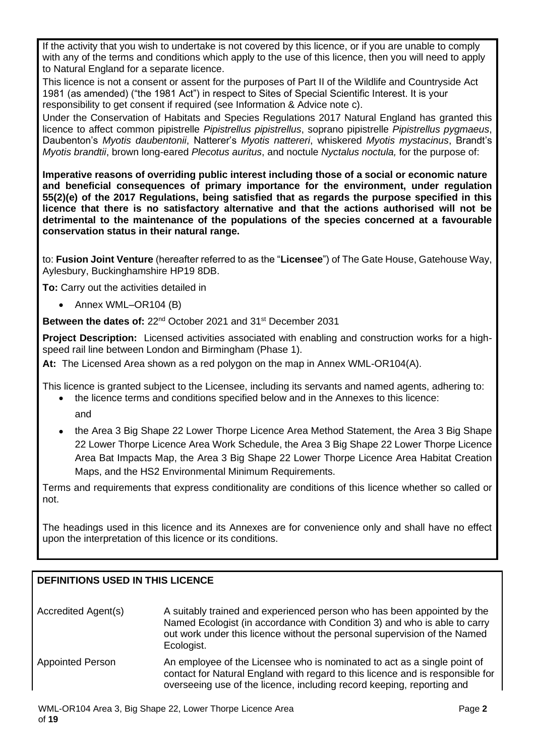If the activity that you wish to undertake is not covered by this licence, or if you are unable to comply with any of the terms and conditions which apply to the use of this licence, then you will need to apply to Natural England for a separate licence.

This licence is not a consent or assent for the purposes of Part II of the Wildlife and Countryside Act 1981 (as amended) ("the 1981 Act") in respect to Sites of Special Scientific Interest. It is your responsibility to get consent if required (see Information & Advice note c).

Under the Conservation of Habitats and Species Regulations 2017 Natural England has granted this licence to affect common pipistrelle *Pipistrellus pipistrellus*, soprano pipistrelle *Pipistrellus pygmaeus*, Daubenton's *Myotis daubentonii*, Natterer's *Myotis nattereri*, whiskered *Myotis mystacinus*, Brandt's *Myotis brandtii*, brown long-eared *Plecotus auritus*, and noctule *Nyctalus noctula,* for the purpose of:

**Imperative reasons of overriding public interest including those of a social or economic nature and beneficial consequences of primary importance for the environment, under regulation 55(2)(e) of the 2017 Regulations, being satisfied that as regards the purpose specified in this licence that there is no satisfactory alternative and that the actions authorised will not be detrimental to the maintenance of the populations of the species concerned at a favourable conservation status in their natural range.**

to: **Fusion Joint Venture** (hereafter referred to as the "**Licensee**") of The Gate House, Gatehouse Way, Aylesbury, Buckinghamshire HP19 8DB.

**To:** Carry out the activities detailed in

• Annex WML–OR104 (B)

**Between the dates of:** 22nd October 2021 and 31st December 2031

**Project Description:** Licensed activities associated with enabling and construction works for a highspeed rail line between London and Birmingham (Phase 1).

**At:** The Licensed Area shown as a red polygon on the map in Annex WML-OR104(A).

This licence is granted subject to the Licensee, including its servants and named agents, adhering to:

- the licence terms and conditions specified below and in the Annexes to this licence:
	- and
- the Area 3 Big Shape 22 Lower Thorpe Licence Area Method Statement, the Area 3 Big Shape 22 Lower Thorpe Licence Area Work Schedule, the Area 3 Big Shape 22 Lower Thorpe Licence Area Bat Impacts Map, the Area 3 Big Shape 22 Lower Thorpe Licence Area Habitat Creation Maps, and the HS2 Environmental Minimum Requirements.

Terms and requirements that express conditionality are conditions of this licence whether so called or not.

The headings used in this licence and its Annexes are for convenience only and shall have no effect upon the interpretation of this licence or its conditions.

# **DEFINITIONS USED IN THIS LICENCE** Accredited Agent(s) A suitably trained and experienced person who has been appointed by the Named Ecologist (in accordance with Condition 3) and who is able to carry out work under this licence without the personal supervision of the Named Ecologist. Appointed Person An employee of the Licensee who is nominated to act as a single point of contact for Natural England with regard to this licence and is responsible for overseeing use of the licence, including record keeping, reporting and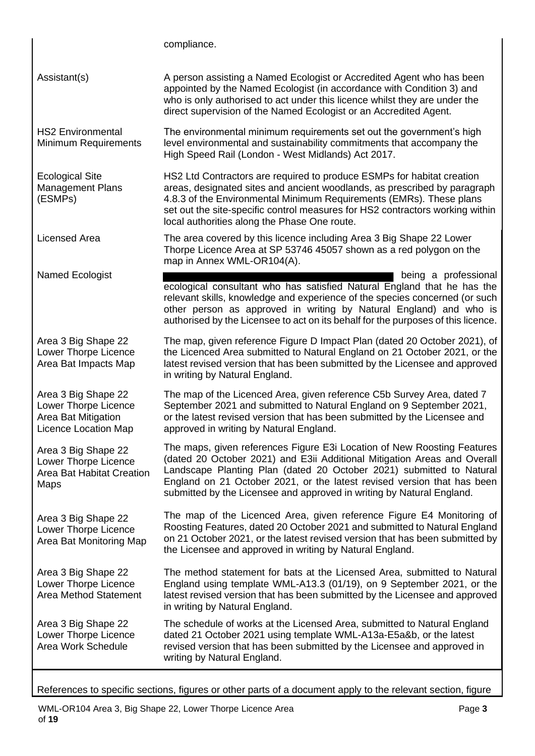compliance.

Assistant(s) A person assisting a Named Ecologist or Accredited Agent who has been appointed by the Named Ecologist (in accordance with Condition 3) and who is only authorised to act under this licence whilst they are under the direct supervision of the Named Ecologist or an Accredited Agent. HS2 Environmental Minimum Requirements The environmental minimum requirements set out the government's high level environmental and sustainability commitments that accompany the High Speed Rail (London - West Midlands) Act 2017. Ecological Site Management Plans (ESMPs) HS2 Ltd Contractors are required to produce ESMPs for habitat creation areas, designated sites and ancient woodlands, as prescribed by paragraph 4.8.3 of the Environmental Minimum Requirements (EMRs). These plans set out the site-specific control measures for HS2 contractors working within local authorities along the Phase One route. Licensed Area The area covered by this licence including Area 3 Big Shape 22 Lower Thorpe Licence Area at SP 53746 45057 shown as a red polygon on the map in Annex WML-OR104(A). Named Ecologist being a professional being a professional ecological consultant who has satisfied Natural England that he has the relevant skills, knowledge and experience of the species concerned (or such other person as approved in writing by Natural England) and who is authorised by the Licensee to act on its behalf for the purposes of this licence. Area 3 Big Shape 22 Lower Thorpe Licence Area Bat Impacts Map The map, given reference Figure D Impact Plan (dated 20 October 2021), of the Licenced Area submitted to Natural England on 21 October 2021, or the latest revised version that has been submitted by the Licensee and approved in writing by Natural England. Area 3 Big Shape 22 Lower Thorpe Licence Area Bat Mitigation Licence Location Map The map of the Licenced Area, given reference C5b Survey Area, dated 7 September 2021 and submitted to Natural England on 9 September 2021, or the latest revised version that has been submitted by the Licensee and approved in writing by Natural England. Area 3 Big Shape 22 Lower Thorpe Licence Area Bat Habitat Creation Maps The maps, given references Figure E3i Location of New Roosting Features (dated 20 October 2021) and E3ii Additional Mitigation Areas and Overall Landscape Planting Plan (dated 20 October 2021) submitted to Natural England on 21 October 2021, or the latest revised version that has been submitted by the Licensee and approved in writing by Natural England. Area 3 Big Shape 22 Lower Thorpe Licence Area Bat Monitoring Map The map of the Licenced Area, given reference Figure E4 Monitoring of Roosting Features, dated 20 October 2021 and submitted to Natural England on 21 October 2021, or the latest revised version that has been submitted by the Licensee and approved in writing by Natural England. Area 3 Big Shape 22 Lower Thorpe Licence Area Method Statement The method statement for bats at the Licensed Area, submitted to Natural England using template WML-A13.3 (01/19), on 9 September 2021, or the latest revised version that has been submitted by the Licensee and approved in writing by Natural England. Area 3 Big Shape 22 Lower Thorpe Licence Area Work Schedule The schedule of works at the Licensed Area, submitted to Natural England dated 21 October 2021 using template WML-A13a-E5a&b, or the latest revised version that has been submitted by the Licensee and approved in writing by Natural England.

References to specific sections, figures or other parts of a document apply to the relevant section, figure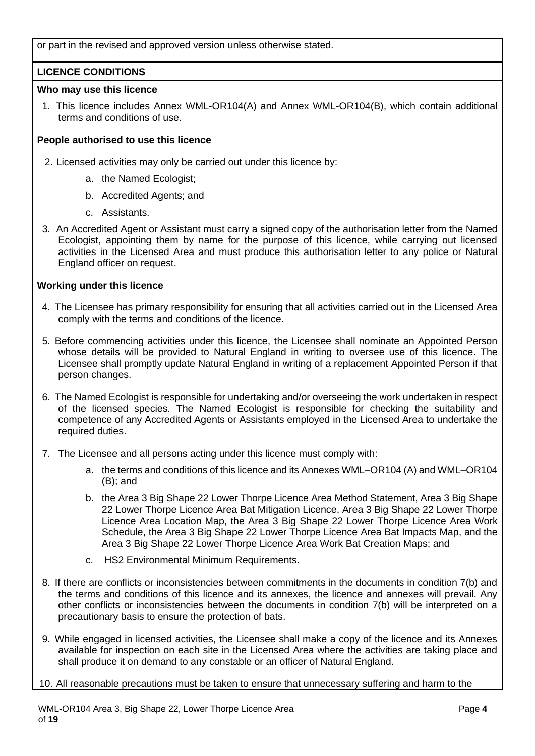or part in the revised and approved version unless otherwise stated.

# **LICENCE CONDITIONS**

## **Who may use this licence**

1. This licence includes Annex WML-OR104(A) and Annex WML-OR104(B), which contain additional terms and conditions of use.

# **People authorised to use this licence**

- 2. Licensed activities may only be carried out under this licence by:
	- a. the Named Ecologist;
	- b. Accredited Agents; and
	- c. Assistants.
- 3. An Accredited Agent or Assistant must carry a signed copy of the authorisation letter from the Named Ecologist, appointing them by name for the purpose of this licence, while carrying out licensed activities in the Licensed Area and must produce this authorisation letter to any police or Natural England officer on request.

# **Working under this licence**

- 4. The Licensee has primary responsibility for ensuring that all activities carried out in the Licensed Area comply with the terms and conditions of the licence.
- 5. Before commencing activities under this licence, the Licensee shall nominate an Appointed Person whose details will be provided to Natural England in writing to oversee use of this licence. The Licensee shall promptly update Natural England in writing of a replacement Appointed Person if that person changes.
- 6. The Named Ecologist is responsible for undertaking and/or overseeing the work undertaken in respect of the licensed species. The Named Ecologist is responsible for checking the suitability and competence of any Accredited Agents or Assistants employed in the Licensed Area to undertake the required duties.
- 7. The Licensee and all persons acting under this licence must comply with:
	- a. the terms and conditions of this licence and its Annexes WML–OR104 (A) and WML–OR104 (B); and
	- b. the Area 3 Big Shape 22 Lower Thorpe Licence Area Method Statement, Area 3 Big Shape 22 Lower Thorpe Licence Area Bat Mitigation Licence, Area 3 Big Shape 22 Lower Thorpe Licence Area Location Map, the Area 3 Big Shape 22 Lower Thorpe Licence Area Work Schedule, the Area 3 Big Shape 22 Lower Thorpe Licence Area Bat Impacts Map, and the Area 3 Big Shape 22 Lower Thorpe Licence Area Work Bat Creation Maps; and
	- c. HS2 Environmental Minimum Requirements.
- 8. If there are conflicts or inconsistencies between commitments in the documents in condition 7(b) and the terms and conditions of this licence and its annexes, the licence and annexes will prevail. Any other conflicts or inconsistencies between the documents in condition 7(b) will be interpreted on a precautionary basis to ensure the protection of bats.
- 9. While engaged in licensed activities, the Licensee shall make a copy of the licence and its Annexes available for inspection on each site in the Licensed Area where the activities are taking place and shall produce it on demand to any constable or an officer of Natural England.

10. All reasonable precautions must be taken to ensure that unnecessary suffering and harm to the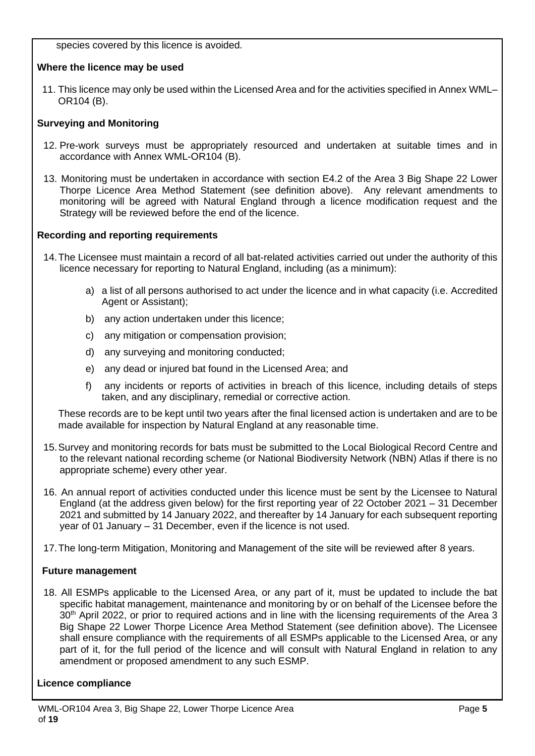species covered by this licence is avoided.

# **Where the licence may be used**

11. This licence may only be used within the Licensed Area and for the activities specified in Annex WML– OR104 (B).

# **Surveying and Monitoring**

- 12. Pre-work surveys must be appropriately resourced and undertaken at suitable times and in accordance with Annex WML-OR104 (B).
- 13. Monitoring must be undertaken in accordance with section E4.2 of the Area 3 Big Shape 22 Lower Thorpe Licence Area Method Statement (see definition above). Any relevant amendments to monitoring will be agreed with Natural England through a licence modification request and the Strategy will be reviewed before the end of the licence.

# **Recording and reporting requirements**

- 14.The Licensee must maintain a record of all bat-related activities carried out under the authority of this licence necessary for reporting to Natural England, including (as a minimum):
	- a) a list of all persons authorised to act under the licence and in what capacity (i.e. Accredited Agent or Assistant);
	- b) any action undertaken under this licence;
	- c) any mitigation or compensation provision;
	- d) any surveying and monitoring conducted;
	- e) any dead or injured bat found in the Licensed Area; and
	- f) any incidents or reports of activities in breach of this licence, including details of steps taken, and any disciplinary, remedial or corrective action.

These records are to be kept until two years after the final licensed action is undertaken and are to be made available for inspection by Natural England at any reasonable time.

- 15.Survey and monitoring records for bats must be submitted to the Local Biological Record Centre and to the relevant national recording scheme (or National Biodiversity Network (NBN) Atlas if there is no appropriate scheme) every other year.
- 16. An annual report of activities conducted under this licence must be sent by the Licensee to Natural England (at the address given below) for the first reporting year of 22 October 2021 – 31 December 2021 and submitted by 14 January 2022, and thereafter by 14 January for each subsequent reporting year of 01 January – 31 December, even if the licence is not used.
- 17.The long-term Mitigation, Monitoring and Management of the site will be reviewed after 8 years.

# **Future management**

18. All ESMPs applicable to the Licensed Area, or any part of it, must be updated to include the bat specific habitat management, maintenance and monitoring by or on behalf of the Licensee before the 30<sup>th</sup> April 2022, or prior to required actions and in line with the licensing requirements of the Area 3 Big Shape 22 Lower Thorpe Licence Area Method Statement (see definition above). The Licensee shall ensure compliance with the requirements of all ESMPs applicable to the Licensed Area, or any part of it, for the full period of the licence and will consult with Natural England in relation to any amendment or proposed amendment to any such ESMP.

# **Licence compliance**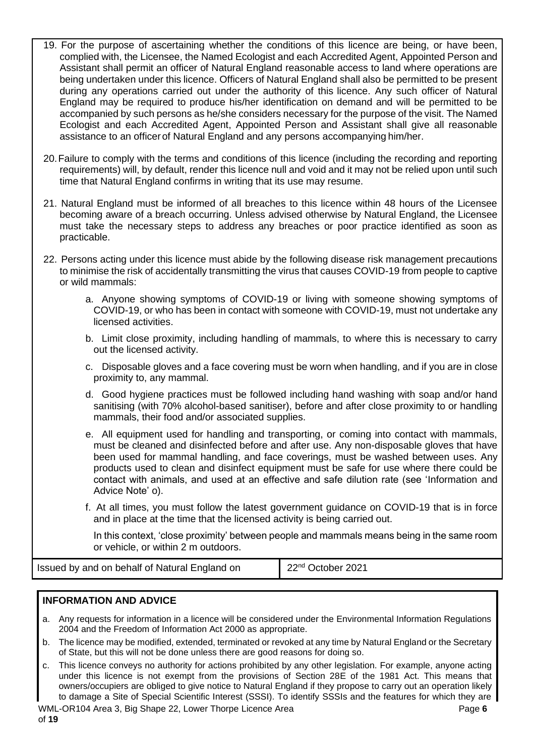- 19. For the purpose of ascertaining whether the conditions of this licence are being, or have been, complied with, the Licensee, the Named Ecologist and each Accredited Agent, Appointed Person and Assistant shall permit an officer of Natural England reasonable access to land where operations are being undertaken under this licence. Officers of Natural England shall also be permitted to be present during any operations carried out under the authority of this licence. Any such officer of Natural England may be required to produce his/her identification on demand and will be permitted to be accompanied by such persons as he/she considers necessary for the purpose of the visit. The Named Ecologist and each Accredited Agent, Appointed Person and Assistant shall give all reasonable assistance to an officerof Natural England and any persons accompanying him/her.
- 20.Failure to comply with the terms and conditions of this licence (including the recording and reporting requirements) will, by default, render this licence null and void and it may not be relied upon until such time that Natural England confirms in writing that its use may resume.
- 21. Natural England must be informed of all breaches to this licence within 48 hours of the Licensee becoming aware of a breach occurring. Unless advised otherwise by Natural England, the Licensee must take the necessary steps to address any breaches or poor practice identified as soon as practicable.
- 22. Persons acting under this licence must abide by the following disease risk management precautions to minimise the risk of accidentally transmitting the virus that causes COVID-19 from people to captive or wild mammals:
	- a. Anyone showing symptoms of COVID-19 or living with someone showing symptoms of COVID-19, or who has been in contact with someone with COVID-19, must not undertake any licensed activities.
	- b. Limit close proximity, including handling of mammals, to where this is necessary to carry out the licensed activity.
	- c. Disposable gloves and a face covering must be worn when handling, and if you are in close proximity to, any mammal.
	- d. Good hygiene practices must be followed including hand washing with soap and/or hand sanitising (with 70% alcohol-based sanitiser), before and after close proximity to or handling mammals, their food and/or associated supplies.
	- e. All equipment used for handling and transporting, or coming into contact with mammals, must be cleaned and disinfected before and after use. Any non-disposable gloves that have been used for mammal handling, and face coverings, must be washed between uses. Any products used to clean and disinfect equipment must be safe for use where there could be contact with animals, and used at an effective and safe dilution rate (see 'Information and Advice Note' o).
	- f. At all times, you must follow the latest government guidance on COVID-19 that is in force and in place at the time that the licensed activity is being carried out.

In this context, 'close proximity' between people and mammals means being in the same room or vehicle, or within 2 m outdoors.

Issued by and on behalf of Natural England on 22nd October 2021

# **INFORMATION AND ADVICE**

- a. Any requests for information in a licence will be considered under the Environmental Information Regulations 2004 and the Freedom of Information Act 2000 as appropriate.
- b. The licence may be modified, extended, terminated or revoked at any time by Natural England or the Secretary of State, but this will not be done unless there are good reasons for doing so.
- c. This licence conveys no authority for actions prohibited by any other legislation. For example, anyone acting under this licence is not exempt from the provisions of Section 28E of the 1981 Act. This means that owners/occupiers are obliged to give notice to Natural England if they propose to carry out an operation likely to damage a Site of Special Scientific Interest (SSSI). To identify SSSIs and the features for which they are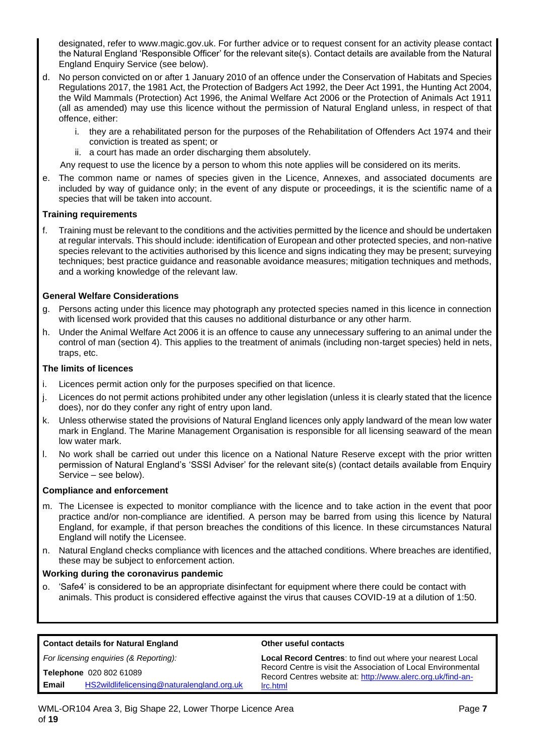designated, refer to www.magic.gov.uk. For further advice or to request consent for an activity please contact the Natural England 'Responsible Officer' for the relevant site(s). Contact details are available from the Natural England Enquiry Service (see below).

- d. No person convicted on or after 1 January 2010 of an offence under the Conservation of Habitats and Species Regulations 2017, the 1981 Act, the Protection of Badgers Act 1992, the Deer Act 1991, the Hunting Act 2004, the Wild Mammals (Protection) Act 1996, the Animal Welfare Act 2006 or the Protection of Animals Act 1911 (all as amended) may use this licence without the permission of Natural England unless, in respect of that offence, either:
	- i. they are a rehabilitated person for the purposes of the Rehabilitation of Offenders Act 1974 and their conviction is treated as spent; or
	- ii. a court has made an order discharging them absolutely.

Any request to use the licence by a person to whom this note applies will be considered on its merits.

e. The common name or names of species given in the Licence, Annexes, and associated documents are included by way of guidance only; in the event of any dispute or proceedings, it is the scientific name of a species that will be taken into account.

#### **Training requirements**

f. Training must be relevant to the conditions and the activities permitted by the licence and should be undertaken at regular intervals. This should include: identification of European and other protected species, and non-native species relevant to the activities authorised by this licence and signs indicating they may be present; surveying techniques; best practice guidance and reasonable avoidance measures; mitigation techniques and methods, and a working knowledge of the relevant law.

#### **General Welfare Considerations**

- g. Persons acting under this licence may photograph any protected species named in this licence in connection with licensed work provided that this causes no additional disturbance or any other harm.
- h. Under the Animal Welfare Act 2006 it is an offence to cause any unnecessary suffering to an animal under the control of man (section 4). This applies to the treatment of animals (including non-target species) held in nets, traps, etc.

#### **The limits of licences**

- i. Licences permit action only for the purposes specified on that licence.
- j. Licences do not permit actions prohibited under any other legislation (unless it is clearly stated that the licence does), nor do they confer any right of entry upon land.
- k. Unless otherwise stated the provisions of Natural England licences only apply landward of the mean low water mark in England. The Marine Management Organisation is responsible for all licensing seaward of the mean low water mark.
- l. No work shall be carried out under this licence on a National Nature Reserve except with the prior written permission of Natural England's 'SSSI Adviser' for the relevant site(s) (contact details available from Enquiry Service – see below).

#### **Compliance and enforcement**

- m. The Licensee is expected to monitor compliance with the licence and to take action in the event that poor practice and/or non-compliance are identified. A person may be barred from using this licence by Natural England, for example, if that person breaches the conditions of this licence. In these circumstances Natural England will notify the Licensee.
- n. Natural England checks compliance with licences and the attached conditions. Where breaches are identified, these may be subject to enforcement action.

#### **Working during the coronavirus pandemic**

o. 'Safe4' is considered to be an appropriate disinfectant for equipment where there could be contact with animals. This product is considered effective against the virus that causes COVID-19 at a dilution of 1:50.

| <b>Contact details for Natural England</b>          | Other useful contacts                                                                                                        |  |  |  |
|-----------------------------------------------------|------------------------------------------------------------------------------------------------------------------------------|--|--|--|
| For licensing enquiries (& Reporting):              | Local Record Centres: to find out where your nearest Local                                                                   |  |  |  |
| Telephone 020 802 61089                             | Record Centre is visit the Association of Local Environmental<br>Record Centres website at: http://www.alerc.org.uk/find-an- |  |  |  |
| HS2wildlifelicensing@naturalengland.org.uk<br>Email | Irc.html                                                                                                                     |  |  |  |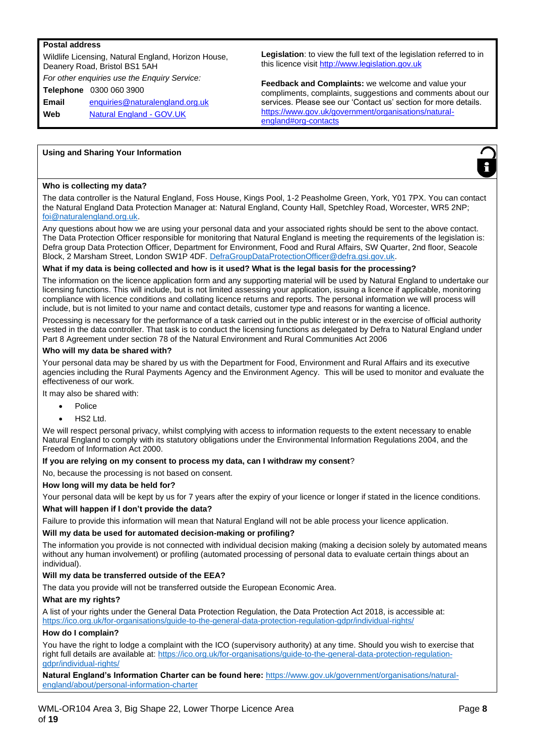#### **Postal address**

Wildlife Licensing, Natural England, Horizon House, Deanery Road, Bristol BS1 5AH *For other enquiries use the Enquiry Service:* **Telephone** 0300 060 3900 **Email** enquiries@naturalengland.org.uk **Web** Natural England - GOV.UK

**Legislation**: to view the full text of the legislation referred to in this licence visit http://www.legislation.gov.uk

**Feedback and Complaints:** we welcome and value your compliments, complaints, suggestions and comments about our services. Please see our 'Contact us' section for more details. https://www.gov.uk/government/organisations/naturalengland#org-contacts

#### **Using and Sharing Your Information**



#### **Who is collecting my data?**

The data controller is the Natural England, Foss House, Kings Pool, 1-2 Peasholme Green, York, Y01 7PX. You can contact the Natural England Data Protection Manager at: Natural England, County Hall, Spetchley Road, Worcester, WR5 2NP; foi@naturalengland.org.uk.

Any questions about how we are using your personal data and your associated rights should be sent to the above contact. The Data Protection Officer responsible for monitoring that Natural England is meeting the requirements of the legislation is: Defra group Data Protection Officer, Department for Environment, Food and Rural Affairs, SW Quarter, 2nd floor, Seacole Block, 2 Marsham Street, London SW1P 4DF. DefraGroupDataProtectionOfficer@defra.gsi.gov.uk.

#### **What if my data is being collected and how is it used? What is the legal basis for the processing?**

The information on the licence application form and any supporting material will be used by Natural England to undertake our licensing functions. This will include, but is not limited assessing your application, issuing a licence if applicable, monitoring compliance with licence conditions and collating licence returns and reports. The personal information we will process will include, but is not limited to your name and contact details, customer type and reasons for wanting a licence.

Processing is necessary for the performance of a task carried out in the public interest or in the exercise of official authority vested in the data controller. That task is to conduct the licensing functions as delegated by Defra to Natural England under Part 8 Agreement under section 78 of the Natural Environment and Rural Communities Act 2006

#### **Who will my data be shared with?**

Your personal data may be shared by us with the Department for Food, Environment and Rural Affairs and its executive agencies including the Rural Payments Agency and the Environment Agency. This will be used to monitor and evaluate the effectiveness of our work.

It may also be shared with:

- Police
- HS2 Ltd.

We will respect personal privacy, whilst complying with access to information requests to the extent necessary to enable Natural England to comply with its statutory obligations under the Environmental Information Regulations 2004, and the Freedom of Information Act 2000.

#### **If you are relying on my consent to process my data, can I withdraw my consent**?

No, because the processing is not based on consent.

#### **How long will my data be held for?**

Your personal data will be kept by us for 7 years after the expiry of your licence or longer if stated in the licence conditions.

#### **What will happen if I don't provide the data?**

Failure to provide this information will mean that Natural England will not be able process your licence application.

#### **Will my data be used for automated decision-making or profiling?**

The information you provide is not connected with individual decision making (making a decision solely by automated means without any human involvement) or profiling (automated processing of personal data to evaluate certain things about an individual).

#### **Will my data be transferred outside of the EEA?**

The data you provide will not be transferred outside the European Economic Area.

#### **What are my rights?**

A list of your rights under the General Data Protection Regulation, the Data Protection Act 2018, is accessible at: https://ico.org.uk/for-organisations/guide-to-the-general-data-protection-regulation-gdpr/individual-rights/

#### **How do I complain?**

You have the right to lodge a complaint with the ICO (supervisory authority) at any time. Should you wish to exercise that right full details are available at: https://ico.org.uk/for-organisations/guide-to-the-general-data-protection-regulationgdpr/individual-rights/

**Natural England's Information Charter can be found here:** https://www.gov.uk/government/organisations/naturalengland/about/personal-information-charter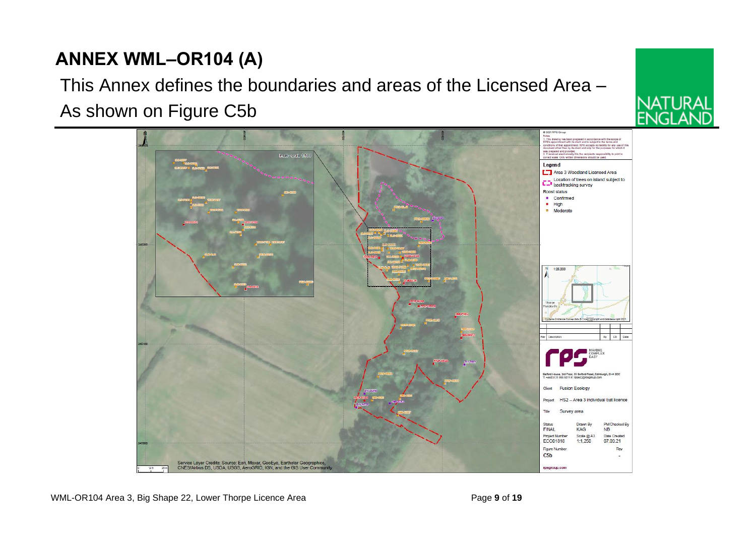

# **ANNEX WML–OR104 (A)**

# This Annex defines the boundaries and areas of the Licensed Area –

WML-OR104 Area 3, Big Shape 22, Lower Thorpe Licence Area **Page 9** of 19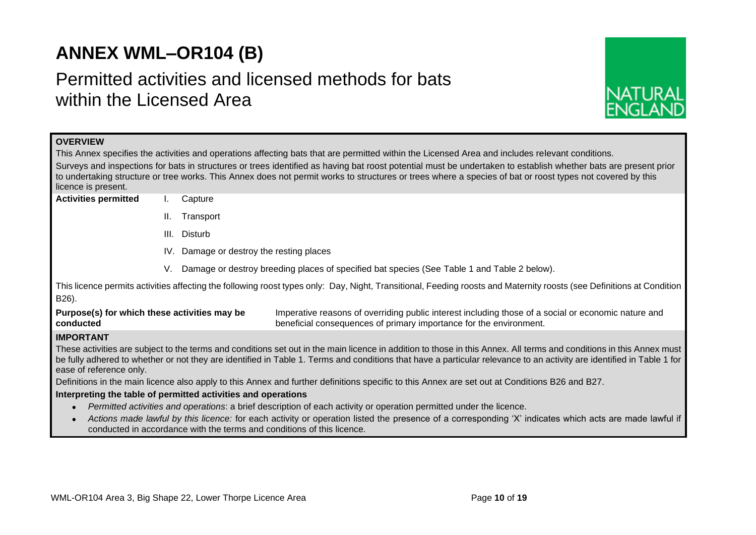# **ANNEX WML–OR104 (B)**

# Permitted activities and licensed methods for bats within the Licensed Area



| <b>OVERVIEW</b>                                               |                                                                                                                                                                                                                                                                                                                    |           |                                                                                                                                                                                                                                                                                                                                               |  |  |  |  |  |  |
|---------------------------------------------------------------|--------------------------------------------------------------------------------------------------------------------------------------------------------------------------------------------------------------------------------------------------------------------------------------------------------------------|-----------|-----------------------------------------------------------------------------------------------------------------------------------------------------------------------------------------------------------------------------------------------------------------------------------------------------------------------------------------------|--|--|--|--|--|--|
|                                                               |                                                                                                                                                                                                                                                                                                                    |           |                                                                                                                                                                                                                                                                                                                                               |  |  |  |  |  |  |
|                                                               | This Annex specifies the activities and operations affecting bats that are permitted within the Licensed Area and includes relevant conditions.<br>Surveys and inspections for bats in structures or trees identified as having bat roost potential must be undertaken to establish whether bats are present prior |           |                                                                                                                                                                                                                                                                                                                                               |  |  |  |  |  |  |
|                                                               |                                                                                                                                                                                                                                                                                                                    |           | to undertaking structure or tree works. This Annex does not permit works to structures or trees where a species of bat or roost types not covered by this                                                                                                                                                                                     |  |  |  |  |  |  |
| licence is present.                                           |                                                                                                                                                                                                                                                                                                                    |           |                                                                                                                                                                                                                                                                                                                                               |  |  |  |  |  |  |
| <b>Activities permitted</b>                                   |                                                                                                                                                                                                                                                                                                                    | Capture   |                                                                                                                                                                                                                                                                                                                                               |  |  |  |  |  |  |
|                                                               | II.                                                                                                                                                                                                                                                                                                                | Transport |                                                                                                                                                                                                                                                                                                                                               |  |  |  |  |  |  |
|                                                               | III. Disturb                                                                                                                                                                                                                                                                                                       |           |                                                                                                                                                                                                                                                                                                                                               |  |  |  |  |  |  |
|                                                               | IV. Damage or destroy the resting places                                                                                                                                                                                                                                                                           |           |                                                                                                                                                                                                                                                                                                                                               |  |  |  |  |  |  |
|                                                               | V.                                                                                                                                                                                                                                                                                                                 |           | Damage or destroy breeding places of specified bat species (See Table 1 and Table 2 below).                                                                                                                                                                                                                                                   |  |  |  |  |  |  |
| B26).                                                         |                                                                                                                                                                                                                                                                                                                    |           | This licence permits activities affecting the following roost types only: Day, Night, Transitional, Feeding roosts and Maternity roosts (see Definitions at Condition                                                                                                                                                                         |  |  |  |  |  |  |
| Purpose(s) for which these activities may be<br>conducted     |                                                                                                                                                                                                                                                                                                                    |           | Imperative reasons of overriding public interest including those of a social or economic nature and<br>beneficial consequences of primary importance for the environment.                                                                                                                                                                     |  |  |  |  |  |  |
| <b>IMPORTANT</b>                                              |                                                                                                                                                                                                                                                                                                                    |           |                                                                                                                                                                                                                                                                                                                                               |  |  |  |  |  |  |
| ease of reference only.                                       |                                                                                                                                                                                                                                                                                                                    |           | These activities are subject to the terms and conditions set out in the main licence in addition to those in this Annex. All terms and conditions in this Annex must<br>be fully adhered to whether or not they are identified in Table 1. Terms and conditions that have a particular relevance to an activity are identified in Table 1 for |  |  |  |  |  |  |
|                                                               |                                                                                                                                                                                                                                                                                                                    |           | Definitions in the main licence also apply to this Annex and further definitions specific to this Annex are set out at Conditions B26 and B27.                                                                                                                                                                                                |  |  |  |  |  |  |
| Interpreting the table of permitted activities and operations |                                                                                                                                                                                                                                                                                                                    |           |                                                                                                                                                                                                                                                                                                                                               |  |  |  |  |  |  |
|                                                               |                                                                                                                                                                                                                                                                                                                    |           | Permitted activities and operations: a brief description of each activity or operation permitted under the licence.                                                                                                                                                                                                                           |  |  |  |  |  |  |
|                                                               | Actions made lawful by this licence: for each activity or operation listed the presence of a corresponding 'X' indicates which acts are made lawful if<br>conducted in accordance with the terms and conditions of this licence.                                                                                   |           |                                                                                                                                                                                                                                                                                                                                               |  |  |  |  |  |  |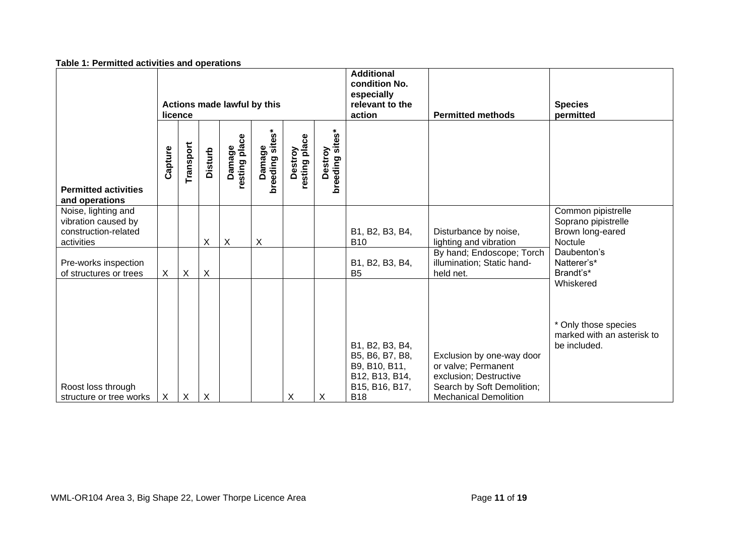| Table 1: Permitted activities and operations |
|----------------------------------------------|
|----------------------------------------------|

|                                                                                  | Actions made lawful by this<br>licence |                           |                           |                           |                           |                          |                            | <b>Additional</b><br>condition No.<br>especially<br>relevant to the<br>action                         | <b>Permitted methods</b>                                                                                                                 | <b>Species</b><br>permitted                                              |
|----------------------------------------------------------------------------------|----------------------------------------|---------------------------|---------------------------|---------------------------|---------------------------|--------------------------|----------------------------|-------------------------------------------------------------------------------------------------------|------------------------------------------------------------------------------------------------------------------------------------------|--------------------------------------------------------------------------|
| <b>Permitted activities</b><br>and operations                                    | Capture                                | Transport                 | <b>Disturb</b>            | Damage<br>resting place   | Damage<br>breeding sites* | resting place<br>Destroy | breeding sites*<br>Destroy |                                                                                                       |                                                                                                                                          |                                                                          |
| Noise, lighting and<br>vibration caused by<br>construction-related<br>activities |                                        |                           | X                         | $\boldsymbol{\mathsf{X}}$ | $\boldsymbol{\mathsf{X}}$ |                          |                            | B1, B2, B3, B4,<br><b>B10</b>                                                                         | Disturbance by noise,<br>lighting and vibration                                                                                          | Common pipistrelle<br>Soprano pipistrelle<br>Brown long-eared<br>Noctule |
| Pre-works inspection<br>of structures or trees                                   | $\boldsymbol{\mathsf{X}}$              | $\boldsymbol{\mathsf{X}}$ | $\times$                  |                           |                           |                          |                            | B1, B2, B3, B4,<br><b>B5</b>                                                                          | By hand; Endoscope; Torch<br>illumination; Static hand-<br>held net.                                                                     | Daubenton's<br>Natterer's*<br>Brandt's*<br>Whiskered                     |
| Roost loss through<br>structure or tree works                                    | $\boldsymbol{\mathsf{X}}$              | $\boldsymbol{X}$          | $\boldsymbol{\mathsf{X}}$ |                           |                           | Χ                        | X                          | B1, B2, B3, B4,<br>B5, B6, B7, B8,<br>B9, B10, B11,<br>B12, B13, B14,<br>B15, B16, B17,<br><b>B18</b> | Exclusion by one-way door<br>or valve; Permanent<br>exclusion; Destructive<br>Search by Soft Demolition;<br><b>Mechanical Demolition</b> | * Only those species<br>marked with an asterisk to<br>be included.       |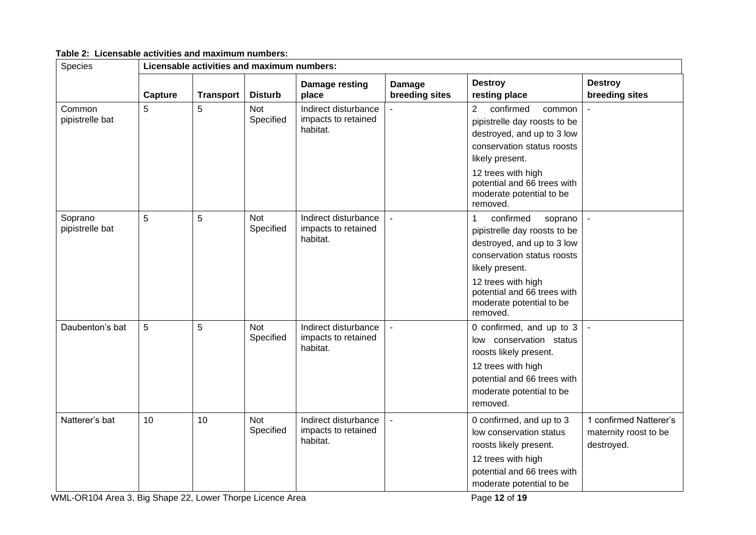| Species                    |         | Licensable activities and maximum numbers: |                         |                                                         |                          |                                                                                                                                                                                                                                                   |                                                               |  |  |  |
|----------------------------|---------|--------------------------------------------|-------------------------|---------------------------------------------------------|--------------------------|---------------------------------------------------------------------------------------------------------------------------------------------------------------------------------------------------------------------------------------------------|---------------------------------------------------------------|--|--|--|
|                            | Capture | <b>Transport</b>                           | <b>Disturb</b>          | Damage resting<br>place                                 | Damage<br>breeding sites | <b>Destroy</b><br>resting place                                                                                                                                                                                                                   | <b>Destroy</b><br>breeding sites                              |  |  |  |
| Common<br>pipistrelle bat  | 5       | 5                                          | <b>Not</b><br>Specified | Indirect disturbance<br>impacts to retained<br>habitat. |                          | $\overline{2}$<br>confirmed<br>common<br>pipistrelle day roosts to be<br>destroyed, and up to 3 low<br>conservation status roosts<br>likely present.<br>12 trees with high<br>potential and 66 trees with<br>moderate potential to be<br>removed. |                                                               |  |  |  |
| Soprano<br>pipistrelle bat | 5       | 5                                          | <b>Not</b><br>Specified | Indirect disturbance<br>impacts to retained<br>habitat. |                          | confirmed<br>$\mathbf{1}$<br>soprano<br>pipistrelle day roosts to be<br>destroyed, and up to 3 low<br>conservation status roosts<br>likely present.<br>12 trees with high<br>potential and 66 trees with<br>moderate potential to be<br>removed.  |                                                               |  |  |  |
| Daubenton's bat            | 5       | 5                                          | <b>Not</b><br>Specified | Indirect disturbance<br>impacts to retained<br>habitat. | $\mathbf{r}$             | 0 confirmed, and up to 3<br>low conservation status<br>roosts likely present.<br>12 trees with high<br>potential and 66 trees with<br>moderate potential to be<br>removed.                                                                        |                                                               |  |  |  |
| Natterer's bat             | 10      | 10                                         | <b>Not</b><br>Specified | Indirect disturbance<br>impacts to retained<br>habitat. |                          | 0 confirmed, and up to 3<br>low conservation status<br>roosts likely present.<br>12 trees with high<br>potential and 66 trees with<br>moderate potential to be                                                                                    | 1 confirmed Natterer's<br>maternity roost to be<br>destroyed. |  |  |  |

**Table 2: Licensable activities and maximum numbers:**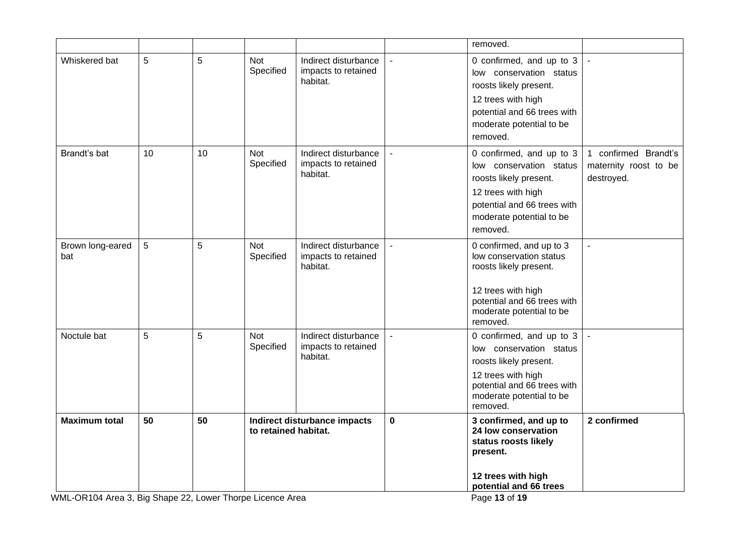|                         |    |    |                         |                                                         |             | removed.                                                                                                                                                                   |                                                             |
|-------------------------|----|----|-------------------------|---------------------------------------------------------|-------------|----------------------------------------------------------------------------------------------------------------------------------------------------------------------------|-------------------------------------------------------------|
| Whiskered bat           | 5  | 5  | <b>Not</b><br>Specified | Indirect disturbance<br>impacts to retained<br>habitat. |             | 0 confirmed, and up to 3<br>low conservation status<br>roosts likely present.<br>12 trees with high<br>potential and 66 trees with<br>moderate potential to be<br>removed. |                                                             |
| Brandt's bat            | 10 | 10 | <b>Not</b><br>Specified | Indirect disturbance<br>impacts to retained<br>habitat. |             | 0 confirmed, and up to 3<br>low conservation status<br>roosts likely present.<br>12 trees with high<br>potential and 66 trees with<br>moderate potential to be<br>removed. | 1 confirmed Brandt's<br>maternity roost to be<br>destroyed. |
| Brown long-eared<br>bat | 5  | 5  | Not<br>Specified        | Indirect disturbance<br>impacts to retained<br>habitat. |             | 0 confirmed, and up to 3<br>low conservation status<br>roosts likely present.<br>12 trees with high<br>potential and 66 trees with<br>moderate potential to be<br>removed. |                                                             |
| Noctule bat             | 5  | 5  | Not<br>Specified        | Indirect disturbance<br>impacts to retained<br>habitat. |             | 0 confirmed, and up to 3<br>low conservation status<br>roosts likely present.<br>12 trees with high<br>potential and 66 trees with<br>moderate potential to be<br>removed. |                                                             |
| <b>Maximum total</b>    | 50 | 50 | to retained habitat.    | Indirect disturbance impacts                            | $\mathbf 0$ | 3 confirmed, and up to<br>24 low conservation<br>status roosts likely<br>present.<br>12 trees with high<br>potential and 66 trees                                          | 2 confirmed                                                 |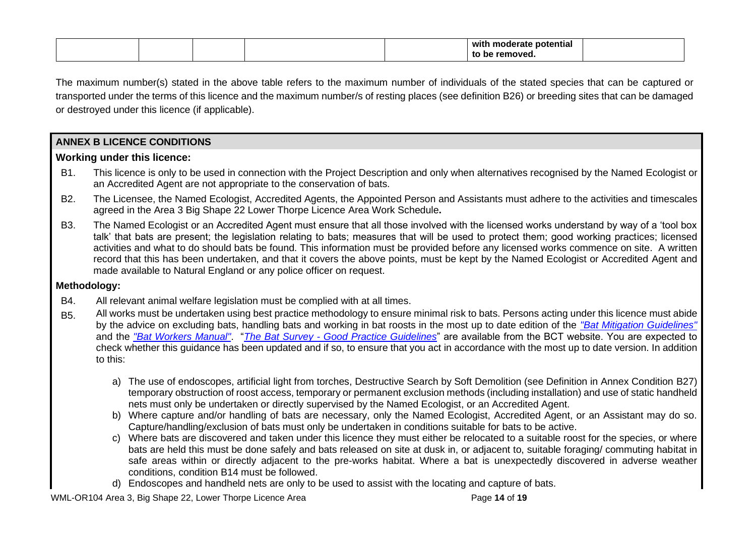|  |  | with<br>mo<br>potential :<br>. 11 11 |  |
|--|--|--------------------------------------|--|
|  |  |                                      |  |

The maximum number(s) stated in the above table refers to the maximum number of individuals of the stated species that can be captured or transported under the terms of this licence and the maximum number/s of resting places (see definition B26) or breeding sites that can be damaged or destroyed under this licence (if applicable).

**ANNEX B LICENCE CONDITIONS**

## **Working under this licence:**

- B1. This licence is only to be used in connection with the Project Description and only when alternatives recognised by the Named Ecologist or an Accredited Agent are not appropriate to the conservation of bats.
- B2. The Licensee, the Named Ecologist, Accredited Agents, the Appointed Person and Assistants must adhere to the activities and timescales agreed in the Area 3 Big Shape 22 Lower Thorpe Licence Area Work Schedule**.**
- B3. The Named Ecologist or an Accredited Agent must ensure that all those involved with the licensed works understand by way of a 'tool box talk' that bats are present; the legislation relating to bats; measures that will be used to protect them; good working practices; licensed activities and what to do should bats be found. This information must be provided before any licensed works commence on site. A written record that this has been undertaken, and that it covers the above points, must be kept by the Named Ecologist or Accredited Agent and made available to Natural England or any police officer on request.

# **Methodology:**

- B4. All relevant animal welfare legislation must be complied with at all times.
- B5. All works must be undertaken using best practice methodology to ensure minimal risk to bats. Persons acting under this licence must abide by the advice on excluding bats, handling bats and working in bat roosts in the most up to date edition of the *"Bat Mitigation Guidelines"*  and the *"Bat Workers Manual"*. "*The Bat Survey - Good Practice Guidelines*" are available from the BCT website. You are expected to check whether this guidance has been updated and if so, to ensure that you act in accordance with the most up to date version. In addition to this:
	- a) The use of endoscopes, artificial light from torches, Destructive Search by Soft Demolition (see Definition in Annex Condition B27) temporary obstruction of roost access, temporary or permanent exclusion methods (including installation) and use of static handheld nets must only be undertaken or directly supervised by the Named Ecologist, or an Accredited Agent.
	- b) Where capture and/or handling of bats are necessary, only the Named Ecologist, Accredited Agent, or an Assistant may do so. Capture/handling/exclusion of bats must only be undertaken in conditions suitable for bats to be active.
	- c) Where bats are discovered and taken under this licence they must either be relocated to a suitable roost for the species, or where bats are held this must be done safely and bats released on site at dusk in, or adjacent to, suitable foraging/ commuting habitat in safe areas within or directly adjacent to the pre-works habitat. Where a bat is unexpectedly discovered in adverse weather conditions, condition B14 must be followed.
	- d) Endoscopes and handheld nets are only to be used to assist with the locating and capture of bats.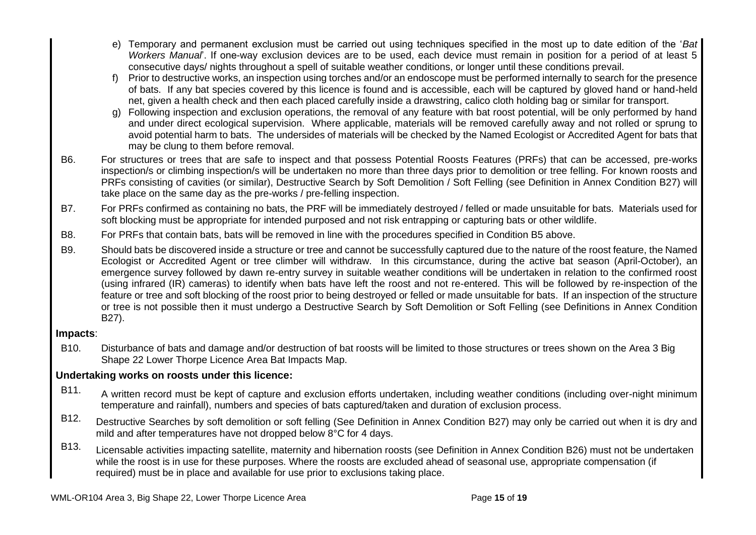- e) Temporary and permanent exclusion must be carried out using techniques specified in the most up to date edition of the '*Bat Workers Manual*'. If one-way exclusion devices are to be used, each device must remain in position for a period of at least 5 consecutive days/ nights throughout a spell of suitable weather conditions, or longer until these conditions prevail.
- f) Prior to destructive works, an inspection using torches and/or an endoscope must be performed internally to search for the presence of bats. If any bat species covered by this licence is found and is accessible, each will be captured by gloved hand or hand-held net, given a health check and then each placed carefully inside a drawstring, calico cloth holding bag or similar for transport.
- g) Following inspection and exclusion operations, the removal of any feature with bat roost potential, will be only performed by hand and under direct ecological supervision. Where applicable, materials will be removed carefully away and not rolled or sprung to avoid potential harm to bats. The undersides of materials will be checked by the Named Ecologist or Accredited Agent for bats that may be clung to them before removal.
- B6. For structures or trees that are safe to inspect and that possess Potential Roosts Features (PRFs) that can be accessed, pre-works inspection/s or climbing inspection/s will be undertaken no more than three days prior to demolition or tree felling. For known roosts and PRFs consisting of cavities (or similar), Destructive Search by Soft Demolition / Soft Felling (see Definition in Annex Condition B27) will take place on the same day as the pre-works / pre-felling inspection.
- B7. For PRFs confirmed as containing no bats, the PRF will be immediately destroyed / felled or made unsuitable for bats. Materials used for soft blocking must be appropriate for intended purposed and not risk entrapping or capturing bats or other wildlife.
- B8. For PRFs that contain bats, bats will be removed in line with the procedures specified in Condition B5 above.
- B9. Should bats be discovered inside a structure or tree and cannot be successfully captured due to the nature of the roost feature, the Named Ecologist or Accredited Agent or tree climber will withdraw. In this circumstance, during the active bat season (April-October), an emergence survey followed by dawn re-entry survey in suitable weather conditions will be undertaken in relation to the confirmed roost (using infrared (IR) cameras) to identify when bats have left the roost and not re-entered. This will be followed by re-inspection of the feature or tree and soft blocking of the roost prior to being destroyed or felled or made unsuitable for bats. If an inspection of the structure or tree is not possible then it must undergo a Destructive Search by Soft Demolition or Soft Felling (see Definitions in Annex Condition B27).

# **Impacts**:

B10. Disturbance of bats and damage and/or destruction of bat roosts will be limited to those structures or trees shown on the Area 3 Big Shape 22 Lower Thorpe Licence Area Bat Impacts Map.

# **Undertaking works on roosts under this licence:**

- B11. A written record must be kept of capture and exclusion efforts undertaken, including weather conditions (including over-night minimum temperature and rainfall), numbers and species of bats captured/taken and duration of exclusion process.
- B12. Destructive Searches by soft demolition or soft felling (See Definition in Annex Condition B27) may only be carried out when it is dry and mild and after temperatures have not dropped below 8°C for 4 days.
- B13. Licensable activities impacting satellite, maternity and hibernation roosts (see Definition in Annex Condition B26) must not be undertaken while the roost is in use for these purposes. Where the roosts are excluded ahead of seasonal use, appropriate compensation (if required) must be in place and available for use prior to exclusions taking place.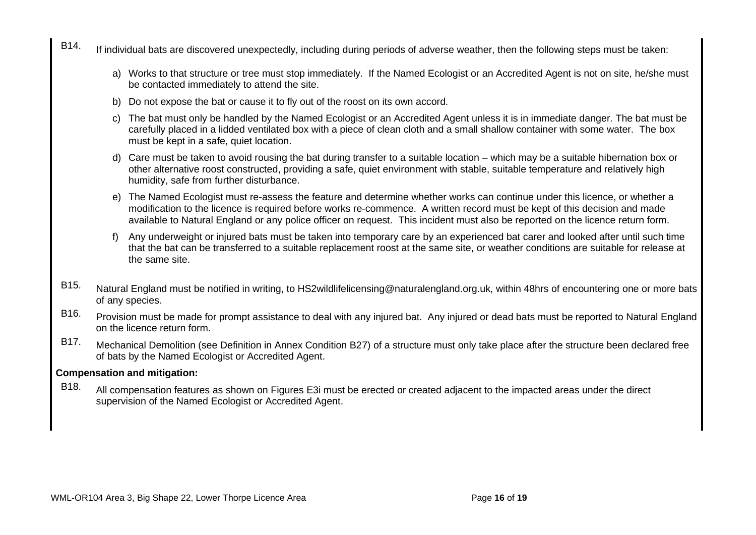- B14. If individual bats are discovered unexpectedly, including during periods of adverse weather, then the following steps must be taken:
	- a) Works to that structure or tree must stop immediately. If the Named Ecologist or an Accredited Agent is not on site, he/she must be contacted immediately to attend the site.
	- b) Do not expose the bat or cause it to fly out of the roost on its own accord.
	- c) The bat must only be handled by the Named Ecologist or an Accredited Agent unless it is in immediate danger. The bat must be carefully placed in a lidded ventilated box with a piece of clean cloth and a small shallow container with some water. The box must be kept in a safe, quiet location.
	- d) Care must be taken to avoid rousing the bat during transfer to a suitable location which may be a suitable hibernation box or other alternative roost constructed, providing a safe, quiet environment with stable, suitable temperature and relatively high humidity, safe from further disturbance.
	- e) The Named Ecologist must re-assess the feature and determine whether works can continue under this licence, or whether a modification to the licence is required before works re-commence. A written record must be kept of this decision and made available to Natural England or any police officer on request. This incident must also be reported on the licence return form.
	- f) Any underweight or injured bats must be taken into temporary care by an experienced bat carer and looked after until such time that the bat can be transferred to a suitable replacement roost at the same site, or weather conditions are suitable for release at the same site.
- B15. Natural England must be notified in writing, to HS2wildlifelicensing@naturalengland.org.uk, within 48hrs of encountering one or more bats of any species.
- B16. Provision must be made for prompt assistance to deal with any injured bat. Any injured or dead bats must be reported to Natural England on the licence return form.
- B17. Mechanical Demolition (see Definition in Annex Condition B27) of a structure must only take place after the structure been declared free of bats by the Named Ecologist or Accredited Agent.

## **Compensation and mitigation:**

B<sub>18</sub>. All compensation features as shown on Figures E3i must be erected or created adjacent to the impacted areas under the direct supervision of the Named Ecologist or Accredited Agent.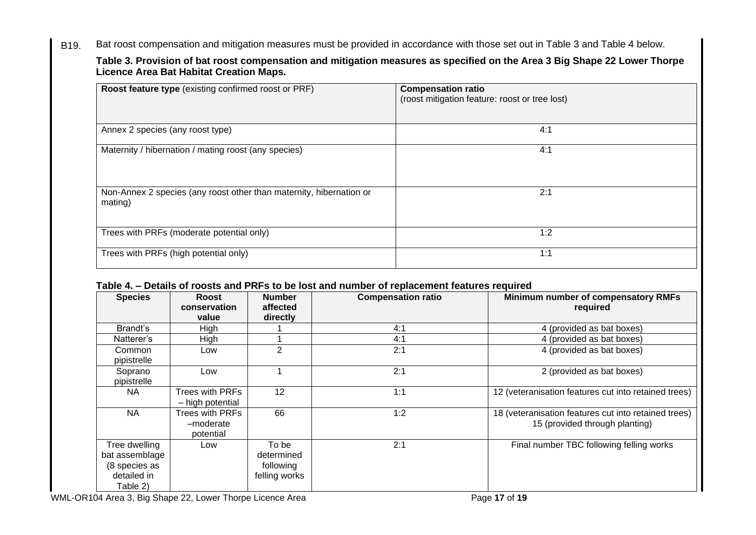B19. Bat roost compensation and mitigation measures must be provided in accordance with those set out in Table 3 and Table 4 below.

**Table 3. Provision of bat roost compensation and mitigation measures as specified on the Area 3 Big Shape 22 Lower Thorpe Licence Area Bat Habitat Creation Maps.**

| Roost feature type (existing confirmed roost or PRF)                           | <b>Compensation ratio</b><br>(roost mitigation feature: roost or tree lost) |
|--------------------------------------------------------------------------------|-----------------------------------------------------------------------------|
| Annex 2 species (any roost type)                                               | 4:1                                                                         |
| Maternity / hibernation / mating roost (any species)                           | 4:1                                                                         |
| Non-Annex 2 species (any roost other than maternity, hibernation or<br>mating) | 2:1                                                                         |
| Trees with PRFs (moderate potential only)                                      | 1:2                                                                         |
| Trees with PRFs (high potential only)                                          | 1:1                                                                         |

# **Table 4. – Details of roosts and PRFs to be lost and number of replacement features required**

| <b>Species</b>                                                              | Roost<br>conservation<br>value            | <b>Number</b><br>affected<br>directly             | <b>Compensation ratio</b> | Minimum number of compensatory RMFs<br>required                                        |
|-----------------------------------------------------------------------------|-------------------------------------------|---------------------------------------------------|---------------------------|----------------------------------------------------------------------------------------|
| Brandt's                                                                    | High                                      |                                                   | 4:1                       | 4 (provided as bat boxes)                                                              |
| Natterer's                                                                  | High                                      |                                                   | 4:1                       | 4 (provided as bat boxes)                                                              |
| Common<br>pipistrelle                                                       | Low                                       | $\overline{2}$                                    | 2:1                       | 4 (provided as bat boxes)                                                              |
| Soprano<br>pipistrelle                                                      | Low                                       |                                                   | 2:1                       | 2 (provided as bat boxes)                                                              |
| NA.                                                                         | Trees with PRFs<br>- high potential       | 12                                                | 1:1                       | 12 (veteranisation features cut into retained trees)                                   |
| <b>NA</b>                                                                   | Trees with PRFs<br>-moderate<br>potential | 66                                                | 1:2                       | 18 (veteranisation features cut into retained trees)<br>15 (provided through planting) |
| Tree dwelling<br>bat assemblage<br>(8 species as<br>detailed in<br>Table 2) | Low                                       | To be<br>determined<br>following<br>felling works | 2:1                       | Final number TBC following felling works                                               |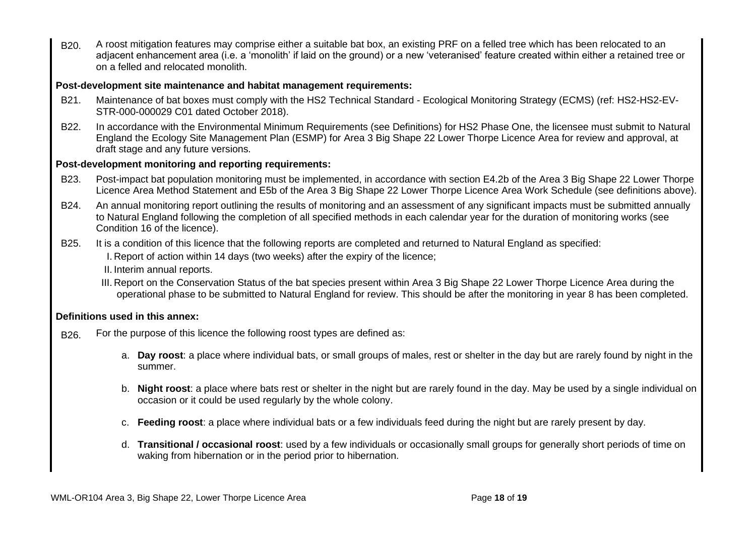B<sub>20</sub>. A roost mitigation features may comprise either a suitable bat box, an existing PRF on a felled tree which has been relocated to an adjacent enhancement area (i.e. a 'monolith' if laid on the ground) or a new 'veteranised' feature created within either a retained tree or on a felled and relocated monolith.

# **Post-development site maintenance and habitat management requirements:**

- B21. Maintenance of bat boxes must comply with the HS2 Technical Standard Ecological Monitoring Strategy (ECMS) (ref: HS2-HS2-EV-STR-000-000029 C01 dated October 2018).
- B22. In accordance with the Environmental Minimum Requirements (see Definitions) for HS2 Phase One, the licensee must submit to Natural England the Ecology Site Management Plan (ESMP) for Area 3 Big Shape 22 Lower Thorpe Licence Area for review and approval, at draft stage and any future versions.

#### **Post-development monitoring and reporting requirements:**

- B23. Post-impact bat population monitoring must be implemented, in accordance with section E4.2b of the Area 3 Big Shape 22 Lower Thorpe Licence Area Method Statement and E5b of the Area 3 Big Shape 22 Lower Thorpe Licence Area Work Schedule (see definitions above).
- B24. An annual monitoring report outlining the results of monitoring and an assessment of any significant impacts must be submitted annually to Natural England following the completion of all specified methods in each calendar year for the duration of monitoring works (see Condition 16 of the licence).
- B25. It is a condition of this licence that the following reports are completed and returned to Natural England as specified: I. Report of action within 14 days (two weeks) after the expiry of the licence;
	- II. Interim annual reports.
	- III. Report on the Conservation Status of the bat species present within Area 3 Big Shape 22 Lower Thorpe Licence Area during the operational phase to be submitted to Natural England for review. This should be after the monitoring in year 8 has been completed.

# **Definitions used in this annex:**

- B<sub>26.</sub> For the purpose of this licence the following roost types are defined as:
	- a. **Day roost**: a place where individual bats, or small groups of males, rest or shelter in the day but are rarely found by night in the summer.
	- b. **Night roost**: a place where bats rest or shelter in the night but are rarely found in the day. May be used by a single individual on occasion or it could be used regularly by the whole colony.
	- c. **Feeding roost**: a place where individual bats or a few individuals feed during the night but are rarely present by day.
	- d. **Transitional / occasional roost**: used by a few individuals or occasionally small groups for generally short periods of time on waking from hibernation or in the period prior to hibernation.